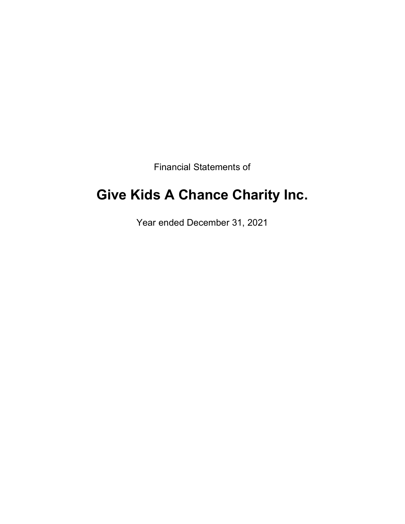Financial Statements of

# **Give Kids A Chance Charity Inc.**

Year ended December 31, 2021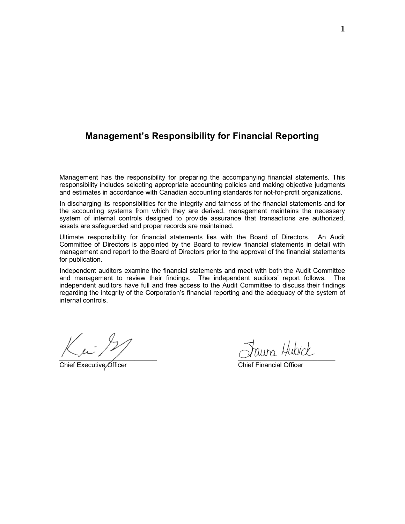## **Management's Responsibility for Financial Reporting**

Management has the responsibility for preparing the accompanying financial statements. This responsibility includes selecting appropriate accounting policies and making objective judgments and estimates in accordance with Canadian accounting standards for not-for-profit organizations.

In discharging its responsibilities for the integrity and fairness of the financial statements and for the accounting systems from which they are derived, management maintains the necessary system of internal controls designed to provide assurance that transactions are authorized, assets are safeguarded and proper records are maintained.

Ultimate responsibility for financial statements lies with the Board of Directors. An Audit Committee of Directors is appointed by the Board to review financial statements in detail with management and report to the Board of Directors prior to the approval of the financial statements for publication.

Independent auditors examine the financial statements and meet with both the Audit Committee and management to review their findings. The independent auditors' report follows. The independent auditors have full and free access to the Audit Committee to discuss their findings regarding the integrity of the Corporation's financial reporting and the adequacy of the system of internal controls.

Chief Executive Officer Chief Financial Officer

 $\alpha$  and  $\alpha$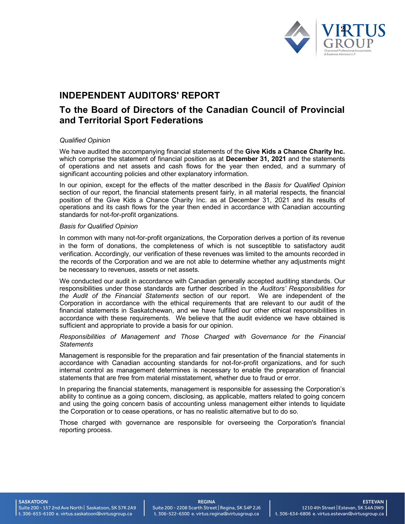

## **INDEPENDENT AUDITORS' REPORT**

## **To the Board of Directors of the Canadian Council of Provincial and Territorial Sport Federations**

#### *Qualified Opinion*

We have audited the accompanying financial statements of the **Give Kids a Chance Charity Inc.** which comprise the statement of financial position as at **December 31, 2021** and the statements of operations and net assets and cash flows for the year then ended, and a summary of significant accounting policies and other explanatory information.

In our opinion, except for the effects of the matter described in the *Basis for Qualified Opinion* section of our report, the financial statements present fairly, in all material respects, the financial position of the Give Kids a Chance Charity Inc. as at December 31, 2021 and its results of operations and its cash flows for the year then ended in accordance with Canadian accounting standards for not-for-profit organizations.

#### *Basis for Qualified Opinion*

In common with many not-for-profit organizations, the Corporation derives a portion of its revenue in the form of donations, the completeness of which is not susceptible to satisfactory audit verification. Accordingly, our verification of these revenues was limited to the amounts recorded in the records of the Corporation and we are not able to determine whether any adjustments might be necessary to revenues, assets or net assets.

We conducted our audit in accordance with Canadian generally accepted auditing standards. Our responsibilities under those standards are further described in the *Auditors' Responsibilities for the Audit of the Financial Statements* section of our report. We are independent of the Corporation in accordance with the ethical requirements that are relevant to our audit of the financial statements in Saskatchewan, and we have fulfilled our other ethical responsibilities in accordance with these requirements. We believe that the audit evidence we have obtained is sufficient and appropriate to provide a basis for our opinion.

#### *Responsibilities of Management and Those Charged with Governance for the Financial Statements*

Management is responsible for the preparation and fair presentation of the financial statements in accordance with Canadian accounting standards for not-for-profit organizations, and for such internal control as management determines is necessary to enable the preparation of financial statements that are free from material misstatement, whether due to fraud or error.

In preparing the financial statements, management is responsible for assessing the Corporation's ability to continue as a going concern, disclosing, as applicable, matters related to going concern and using the going concern basis of accounting unless management either intends to liquidate the Corporation or to cease operations, or has no realistic alternative but to do so.

Those charged with governance are responsible for overseeing the Corporation's financial reporting process.

**SASKATOON** 

Suite 200 - 157 2nd Ave North | Saskatoon, SK S7K 2A9 t. 306-653-6100 e. virtus.saskatoon@virtusgroup.ca

## REGINA

Suite 200 - 2208 Scarth Street | Regina, SK S4P 2J6 t. 306-522-6500 e. virtus.regina@virtusgroup.ca

**ESTEVAN** 1210 4th Street | Estevan, SK S4A 0W9 t. 306-634-6806 e. virtus.estevan@virtusgroup.ca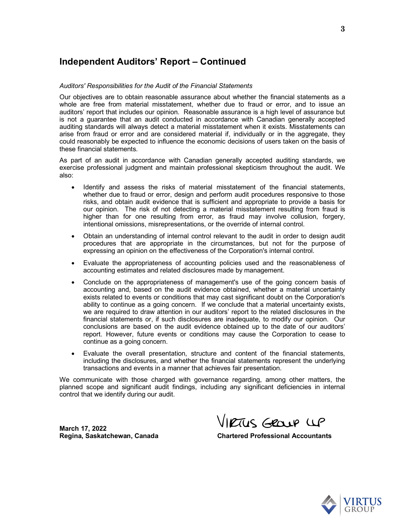## **Independent Auditors' Report – Continued**

#### *Auditors' Responsibilities for the Audit of the Financial Statements*

Our objectives are to obtain reasonable assurance about whether the financial statements as a whole are free from material misstatement, whether due to fraud or error, and to issue an auditors' report that includes our opinion. Reasonable assurance is a high level of assurance but is not a guarantee that an audit conducted in accordance with Canadian generally accepted auditing standards will always detect a material misstatement when it exists. Misstatements can arise from fraud or error and are considered material if, individually or in the aggregate, they could reasonably be expected to influence the economic decisions of users taken on the basis of these financial statements.

As part of an audit in accordance with Canadian generally accepted auditing standards, we exercise professional judgment and maintain professional skepticism throughout the audit. We also:

- · Identify and assess the risks of material misstatement of the financial statements, whether due to fraud or error, design and perform audit procedures responsive to those risks, and obtain audit evidence that is sufficient and appropriate to provide a basis for our opinion. The risk of not detecting a material misstatement resulting from fraud is higher than for one resulting from error, as fraud may involve collusion, forgery, intentional omissions, misrepresentations, or the override of internal control.
- · Obtain an understanding of internal control relevant to the audit in order to design audit procedures that are appropriate in the circumstances, but not for the purpose of expressing an opinion on the effectiveness of the Corporation's internal control.
- · Evaluate the appropriateness of accounting policies used and the reasonableness of accounting estimates and related disclosures made by management.
- · Conclude on the appropriateness of management's use of the going concern basis of accounting and, based on the audit evidence obtained, whether a material uncertainty exists related to events or conditions that may cast significant doubt on the Corporation's ability to continue as a going concern. If we conclude that a material uncertainty exists, we are required to draw attention in our auditors' report to the related disclosures in the financial statements or, if such disclosures are inadequate, to modify our opinion. Our conclusions are based on the audit evidence obtained up to the date of our auditors' report. However, future events or conditions may cause the Corporation to cease to continue as a going concern.
- · Evaluate the overall presentation, structure and content of the financial statements, including the disclosures, and whether the financial statements represent the underlying transactions and events in a manner that achieves fair presentation.

We communicate with those charged with governance regarding, among other matters, the planned scope and significant audit findings, including any significant deficiencies in internal control that we identify during our audit.

**March 17, 2022**

VIRTUS GROUP UP

Regina, Saskatchewan, Canada **Chartered Professional Accountants** 

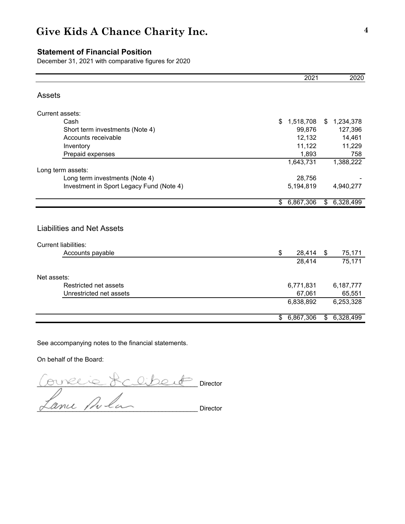### **Statement of Financial Position**

December 31, 2021 with comparative figures for 2020

|                                          | 2021            |               | 2020        |
|------------------------------------------|-----------------|---------------|-------------|
| Assets                                   |                 |               |             |
| Current assets:                          |                 |               |             |
| Cash                                     | \$<br>1,518,708 | \$            | 1,234,378   |
| Short term investments (Note 4)          | 99,876          |               | 127,396     |
| Accounts receivable                      | 12,132          |               | 14,461      |
| Inventory                                | 11,122          |               | 11,229      |
| Prepaid expenses                         | 1,893           |               | 758         |
|                                          | 1,643,731       |               | 1,388,222   |
| Long term assets:                        |                 |               |             |
| Long term investments (Note 4)           | 28,756          |               |             |
| Investment in Sport Legacy Fund (Note 4) | 5,194,819       |               | 4,940,277   |
|                                          | \$<br>6,867,306 | $\frac{1}{2}$ | 6,328,499   |
|                                          |                 |               |             |
| <b>Liabilities and Net Assets</b>        |                 |               |             |
| <b>Current liabilities:</b>              |                 |               |             |
| Accounts payable                         | \$<br>28,414    | \$            | 75,171      |
|                                          | 28,414          |               | 75,171      |
| Net assets:                              |                 |               |             |
| Restricted net assets                    | 6,771,831       |               | 6,187,777   |
| Unrestricted net assets                  | 67,061          |               | 65,551      |
|                                          | 6,838,892       |               | 6,253,328   |
|                                          | \$6,867,306     |               | \$6,328,499 |

See accompanying notes to the financial statements.

On behalf of the Board:

\_\_\_\_\_\_\_\_\_\_\_\_\_\_\_\_\_\_\_\_\_\_\_\_\_\_\_\_\_\_\_\_\_\_\_\_\_\_\_\_\_\_\_\_\_ Director  $\sigma$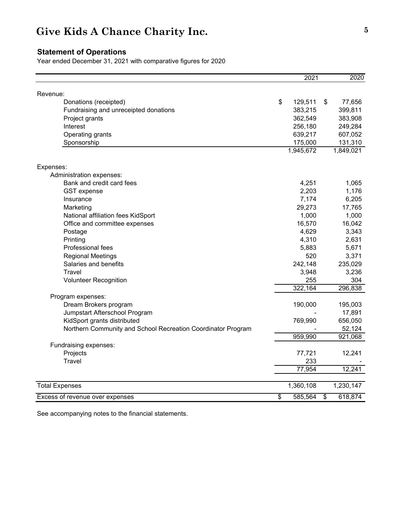### **Statement of Operations**

Year ended December 31, 2021 with comparative figures for 2020

|                                                              | 2021          | 2020          |
|--------------------------------------------------------------|---------------|---------------|
|                                                              |               |               |
| Revenue:<br>Donations (receipted)                            | \$<br>129,511 | \$<br>77,656  |
| Fundraising and unreceipted donations                        | 383,215       | 399,811       |
| Project grants                                               | 362,549       | 383,908       |
| Interest                                                     | 256,180       | 249,284       |
| Operating grants                                             | 639,217       | 607,052       |
| Sponsorship                                                  | 175,000       | 131,310       |
|                                                              | 1,945,672     | 1,849,021     |
|                                                              |               |               |
| Expenses:                                                    |               |               |
| Administration expenses:                                     |               |               |
| Bank and credit card fees                                    | 4,251         | 1,065         |
| <b>GST</b> expense                                           | 2,203         | 1,176         |
| Insurance                                                    | 7,174         | 6,205         |
| Marketing                                                    | 29,273        | 17,765        |
| National affiliation fees KidSport                           | 1,000         | 1,000         |
| Office and committee expenses                                | 16,570        | 16,042        |
| Postage                                                      | 4,629         | 3,343         |
| Printing                                                     | 4,310         | 2,631         |
| Professional fees                                            | 5,883         | 5,671         |
| <b>Regional Meetings</b>                                     | 520           | 3,371         |
| Salaries and benefits                                        | 242,148       | 235,029       |
| Travel                                                       | 3,948         | 3,236         |
| <b>Volunteer Recognition</b>                                 | 255           | 304           |
|                                                              | 322,164       | 296,838       |
| Program expenses:                                            |               |               |
| Dream Brokers program                                        | 190,000       | 195,003       |
| Jumpstart Afterschool Program                                |               | 17,891        |
| KidSport grants distributed                                  | 769,990       | 656,050       |
| Northern Community and School Recreation Coordinator Program |               | 52,124        |
|                                                              | 959,990       | 921,068       |
| Fundraising expenses:                                        |               |               |
| Projects                                                     | 77,721        | 12,241        |
| Travel                                                       | 233           |               |
|                                                              | 77,954        | 12,241        |
|                                                              | 1,360,108     | 1,230,147     |
| <b>Total Expenses</b>                                        |               |               |
| Excess of revenue over expenses                              | \$<br>585,564 | \$<br>618,874 |

See accompanying notes to the financial statements.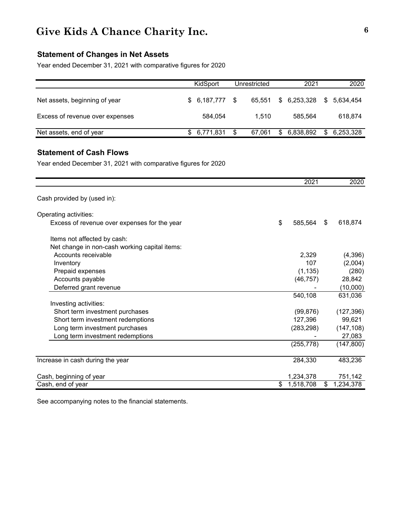### **Statement of Changes in Net Assets**

Year ended December 31, 2021 with comparative figures for 2020

|                                 | KidSport        | Unrestricted | 2021           | 2020         |
|---------------------------------|-----------------|--------------|----------------|--------------|
| Net assets, beginning of year   | $$6,187,777$ \; | 65.551       | \$ 6,253,328   | \$ 5.634.454 |
| Excess of revenue over expenses | 584,054         | 1.510        | 585.564        | 618.874      |
| Net assets, end of year         | \$ 6,771,831    | 67.061       | 6,838,892<br>S | \$ 6,253,328 |

### **Statement of Cash Flows**

Year ended December 31, 2021 with comparative figures for 2020

|                                               | 2021            |    | 2020       |
|-----------------------------------------------|-----------------|----|------------|
| Cash provided by (used in):                   |                 |    |            |
| Operating activities:                         |                 |    |            |
| Excess of revenue over expenses for the year  | \$<br>585,564   | S. | 618,874    |
| Items not affected by cash:                   |                 |    |            |
| Net change in non-cash working capital items: |                 |    |            |
| Accounts receivable                           | 2,329           |    | (4,396)    |
| Inventory                                     | 107             |    | (2,004)    |
| Prepaid expenses                              | (1, 135)        |    | (280)      |
| Accounts payable                              | (46, 757)       |    | 28,842     |
| Deferred grant revenue                        |                 |    | (10,000)   |
|                                               | 540,108         |    | 631,036    |
| Investing activities:                         |                 |    |            |
| Short term investment purchases               | (99, 876)       |    | (127, 396) |
| Short term investment redemptions             | 127,396         |    | 99,621     |
| Long term investment purchases                | (283, 298)      |    | (147, 108) |
| Long term investment redemptions              |                 |    | 27,083     |
|                                               | (255, 778)      |    | (147, 800) |
| Increase in cash during the year              | 284,330         |    | 483,236    |
|                                               |                 |    |            |
| Cash, beginning of year                       | 1,234,378       |    | 751,142    |
| Cash, end of year                             | \$<br>1,518,708 | \$ | 1,234,378  |

See accompanying notes to the financial statements.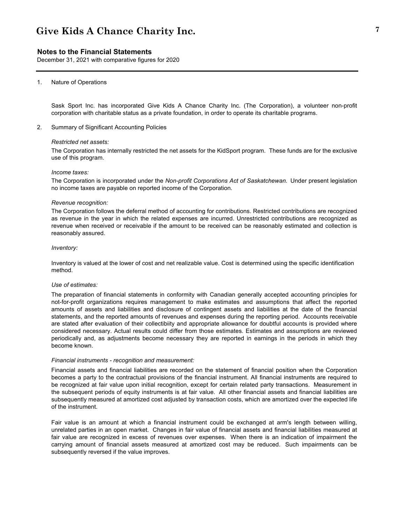#### **Notes to the Financial Statements**

December 31, 2021 with comparative figures for 2020

#### 1. Nature of Operations

Sask Sport Inc. has incorporated Give Kids A Chance Charity Inc. (The Corporation), a volunteer non-profit corporation with charitable status as a private foundation, in order to operate its charitable programs.

2. Summary of Significant Accounting Policies

#### *Restricted net assets:*

The Corporation has internally restricted the net assets for the KidSport program. These funds are for the exclusive use of this program.

#### *Income taxes:*

The Corporation is incorporated under the *Non-profit Corporations Act of Saskatchewan.* Under present legislation no income taxes are payable on reported income of the Corporation.

#### *Revenue recognition:*

The Corporation follows the deferral method of accounting for contributions. Restricted contributions are recognized as revenue in the year in which the related expenses are incurred. Unrestricted contributions are recognized as revenue when received or receivable if the amount to be received can be reasonably estimated and collection is reasonably assured.

#### *Inventory:*

Inventory is valued at the lower of cost and net realizable value. Cost is determined using the specific identification method.

#### *Use of estimates:*

The preparation of financial statements in conformity with Canadian generally accepted accounting principles for not-for-profit organizations requires management to make estimates and assumptions that affect the reported amounts of assets and liabilities and disclosure of contingent assets and liabilities at the date of the financial statements, and the reported amounts of revenues and expenses during the reporting period. Accounts receivable are stated after evaluation of their collectibiity and appropriate allowance for doubtful accounts is provided where considered necessary. Actual results could differ from those estimates. Estimates and assumptions are reviewed periodically and, as adjustments become necessary they are reported in earnings in the periods in which they become known.

#### *Financial instruments - recognition and measurement:*

Financial assets and financial liabilities are recorded on the statement of financial position when the Corporation becomes a party to the contractual provisions of the financial instrument. All financial instruments are required to be recognized at fair value upon initial recognition, except for certain related party transactions. Measurement in the subsequent periods of equity instruments is at fair value. All other financial assets and financial liabilities are subsequently measured at amortized cost adjusted by transaction costs, which are amortized over the expected life of the instrument.

Fair value is an amount at which a financial instrument could be exchanged at arm's length between willing, unrelated parties in an open market. Changes in fair value of financial assets and financial liabilities measured at fair value are recognized in excess of revenues over expenses. When there is an indication of impairment the carrying amount of financial assets measured at amortized cost may be reduced. Such impairments can be subsequently reversed if the value improves.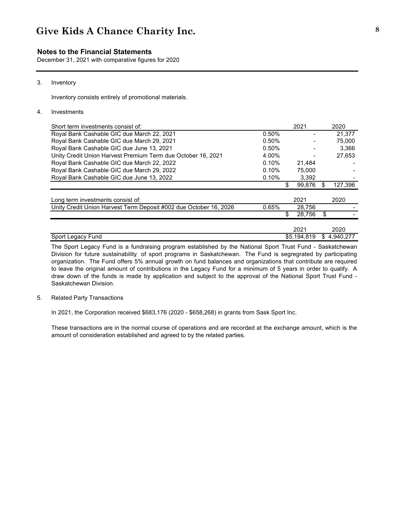#### **Notes to the Financial Statements**

December 31, 2021 with comparative figures for 2020

#### 3. Inventory

Inventory consists entirely of promotional materials.

#### 4. Investments

| Short term investments consist of:                                |       | 2021         | 2020            |
|-------------------------------------------------------------------|-------|--------------|-----------------|
| Royal Bank Cashable GIC due March 22, 2021                        | 0.50% |              | 21.377          |
| Royal Bank Cashable GIC due March 29, 2021                        | 0.50% |              | 75,000          |
| Royal Bank Cashable GIC due June 13, 2021                         | 0.50% |              | 3.366           |
| Unity Credit Union Harvest Premium Term due October 16, 2021      | 4.00% |              | 27.653          |
| Royal Bank Cashable GIC due March 22, 2022                        | 0.10% | 21.484       |                 |
| Royal Bank Cashable GIC due March 29, 2022                        | 0.10% | 75.000       |                 |
| Royal Bank Cashable GIC due June 13, 2022                         | 0.10% | 3.392        |                 |
|                                                                   |       | \$<br>99,876 | \$<br>127,396   |
|                                                                   |       |              |                 |
| Long term investments consist of:                                 |       | 2021         | 2020            |
| Unity Credit Union Harvest Term Deposit #002 due October 16, 2026 | 0.65% | 28,756       |                 |
|                                                                   |       | 28,756       | \$              |
|                                                                   |       |              |                 |
|                                                                   |       | 2021         | 2020            |
| Sport Legacy Fund                                                 |       | \$5.194.819  | \$<br>4.940.277 |

The Sport Legacy Fund is a fundraising program established by the National Sport Trust Fund - Saskatchewan Division for future sustainability of sport programs in Saskatchewan. The Fund is segregrated by participating organization. The Fund offers 5% annual growth on fund balances and organizations that contribute are required to leave the original amount of contributions in the Legacy Fund for a minimum of 5 years in order to qualify. A draw down of the funds is made by application and subject to the approval of the National Sport Trust Fund - Saskatchewan Division.

#### 5. Related Party Transactions

In 2021, the Corporation received \$683,176 (2020 - \$658,268) in grants from Sask Sport Inc.

These transactions are in the normal course of operations and are recorded at the exchange amount, which is the amount of consideration established and agreed to by the related parties.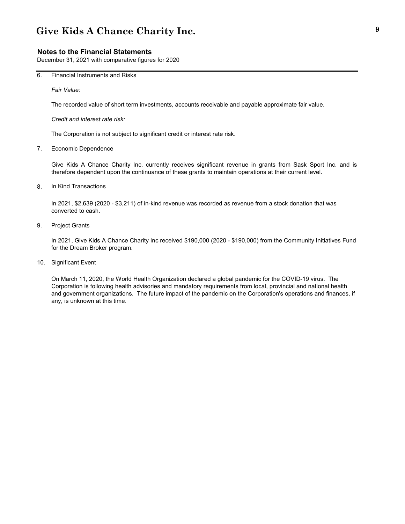#### **Notes to the Financial Statements**

December 31, 2021 with comparative figures for 2020

6. Financial Instruments and Risks

*Fair Value:*

The recorded value of short term investments, accounts receivable and payable approximate fair value.

*Credit and interest rate risk:*

The Corporation is not subject to significant credit or interest rate risk.

7. Economic Dependence

Give Kids A Chance Charity Inc. currently receives significant revenue in grants from Sask Sport Inc. and is therefore dependent upon the continuance of these grants to maintain operations at their current level.

8. In Kind Transactions

In 2021, \$2,639 (2020 - \$3,211) of in-kind revenue was recorded as revenue from a stock donation that was converted to cash.

9. Project Grants

In 2021, Give Kids A Chance Charity Inc received \$190,000 (2020 - \$190,000) from the Community Initiatives Fund for the Dream Broker program.

10. Significant Event

On March 11, 2020, the World Health Organization declared a global pandemic for the COVID-19 virus. The Corporation is following health advisories and mandatory requirements from local, provincial and national health and government organizations. The future impact of the pandemic on the Corporation's operations and finances, if any, is unknown at this time.